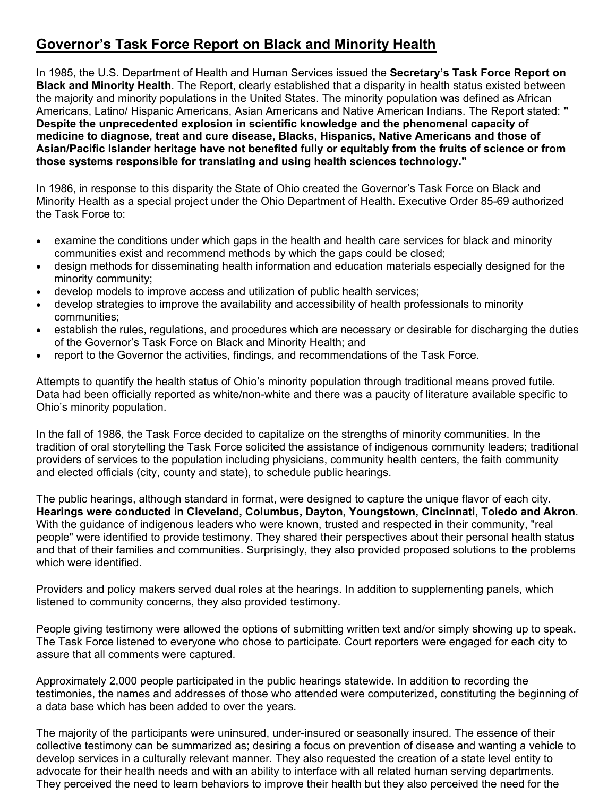# **Governor's Task Force Report on Black and Minority Health**

In 1985, the U.S. Department of Health and Human Services issued the **Secretary's Task Force Report on Black and Minority Health**. The Report, clearly established that a disparity in health status existed between the majority and minority populations in the United States. The minority population was defined as African Americans, Latino/ Hispanic Americans, Asian Americans and Native American Indians. The Report stated: **" Despite the unprecedented explosion in scientific knowledge and the phenomenal capacity of medicine to diagnose, treat and cure disease, Blacks, Hispanics, Native Americans and those of Asian/Pacific Islander heritage have not benefited fully or equitably from the fruits of science or from those systems responsible for translating and using health sciences technology."** 

In 1986, in response to this disparity the State of Ohio created the Governor's Task Force on Black and Minority Health as a special project under the Ohio Department of Health. Executive Order 85-69 authorized the Task Force to:

- examine the conditions under which gaps in the health and health care services for black and minority communities exist and recommend methods by which the gaps could be closed;
- design methods for disseminating health information and education materials especially designed for the minority community;
- develop models to improve access and utilization of public health services;
- develop strategies to improve the availability and accessibility of health professionals to minority communities;
- establish the rules, regulations, and procedures which are necessary or desirable for discharging the duties of the Governor's Task Force on Black and Minority Health; and
- report to the Governor the activities, findings, and recommendations of the Task Force.

Attempts to quantify the health status of Ohio's minority population through traditional means proved futile. Data had been officially reported as white/non-white and there was a paucity of literature available specific to Ohio's minority population.

In the fall of 1986, the Task Force decided to capitalize on the strengths of minority communities. In the tradition of oral storytelling the Task Force solicited the assistance of indigenous community leaders; traditional providers of services to the population including physicians, community health centers, the faith community and elected officials (city, county and state), to schedule public hearings.

The public hearings, although standard in format, were designed to capture the unique flavor of each city. **Hearings were conducted in Cleveland, Columbus, Dayton, Youngstown, Cincinnati, Toledo and Akron**. With the guidance of indigenous leaders who were known, trusted and respected in their community, "real people" were identified to provide testimony. They shared their perspectives about their personal health status and that of their families and communities. Surprisingly, they also provided proposed solutions to the problems which were identified.

Providers and policy makers served dual roles at the hearings. In addition to supplementing panels, which listened to community concerns, they also provided testimony.

People giving testimony were allowed the options of submitting written text and/or simply showing up to speak. The Task Force listened to everyone who chose to participate. Court reporters were engaged for each city to assure that all comments were captured.

Approximately 2,000 people participated in the public hearings statewide. In addition to recording the testimonies, the names and addresses of those who attended were computerized, constituting the beginning of a data base which has been added to over the years.

The majority of the participants were uninsured, under-insured or seasonally insured. The essence of their collective testimony can be summarized as; desiring a focus on prevention of disease and wanting a vehicle to develop services in a culturally relevant manner. They also requested the creation of a state level entity to advocate for their health needs and with an ability to interface with all related human serving departments. They perceived the need to learn behaviors to improve their health but they also perceived the need for the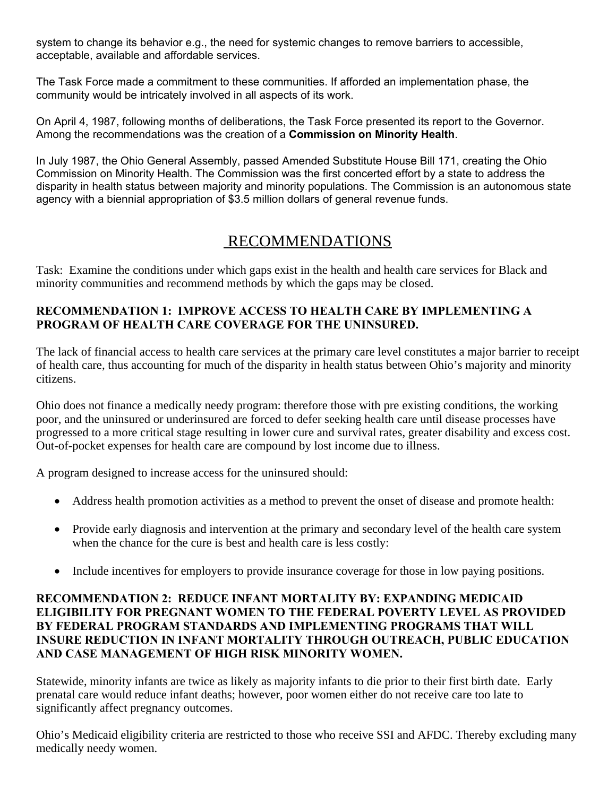system to change its behavior e.g., the need for systemic changes to remove barriers to accessible, acceptable, available and affordable services.

The Task Force made a commitment to these communities. If afforded an implementation phase, the community would be intricately involved in all aspects of its work.

On April 4, 1987, following months of deliberations, the Task Force presented its report to the Governor. Among the recommendations was the creation of a **Commission on Minority Health**.

In July 1987, the Ohio General Assembly, passed Amended Substitute House Bill 171, creating the Ohio Commission on Minority Health. The Commission was the first concerted effort by a state to address the disparity in health status between majority and minority populations. The Commission is an autonomous state agency with a biennial appropriation of \$3.5 million dollars of general revenue funds.

# RECOMMENDATIONS

Task: Examine the conditions under which gaps exist in the health and health care services for Black and minority communities and recommend methods by which the gaps may be closed.

# **RECOMMENDATION 1: IMPROVE ACCESS TO HEALTH CARE BY IMPLEMENTING A PROGRAM OF HEALTH CARE COVERAGE FOR THE UNINSURED.**

The lack of financial access to health care services at the primary care level constitutes a major barrier to receipt of health care, thus accounting for much of the disparity in health status between Ohio's majority and minority citizens.

Ohio does not finance a medically needy program: therefore those with pre existing conditions, the working poor, and the uninsured or underinsured are forced to defer seeking health care until disease processes have progressed to a more critical stage resulting in lower cure and survival rates, greater disability and excess cost. Out-of-pocket expenses for health care are compound by lost income due to illness.

A program designed to increase access for the uninsured should:

- Address health promotion activities as a method to prevent the onset of disease and promote health:
- Provide early diagnosis and intervention at the primary and secondary level of the health care system when the chance for the cure is best and health care is less costly:
- Include incentives for employers to provide insurance coverage for those in low paying positions.

## **RECOMMENDATION 2: REDUCE INFANT MORTALITY BY: EXPANDING MEDICAID ELIGIBILITY FOR PREGNANT WOMEN TO THE FEDERAL POVERTY LEVEL AS PROVIDED BY FEDERAL PROGRAM STANDARDS AND IMPLEMENTING PROGRAMS THAT WILL INSURE REDUCTION IN INFANT MORTALITY THROUGH OUTREACH, PUBLIC EDUCATION AND CASE MANAGEMENT OF HIGH RISK MINORITY WOMEN.**

Statewide, minority infants are twice as likely as majority infants to die prior to their first birth date. Early prenatal care would reduce infant deaths; however, poor women either do not receive care too late to significantly affect pregnancy outcomes.

Ohio's Medicaid eligibility criteria are restricted to those who receive SSI and AFDC. Thereby excluding many medically needy women.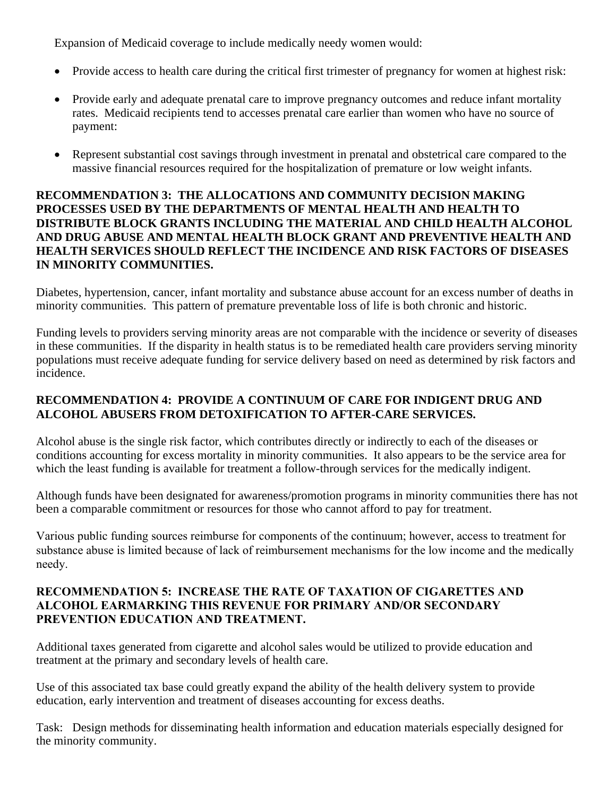Expansion of Medicaid coverage to include medically needy women would:

- Provide access to health care during the critical first trimester of pregnancy for women at highest risk:
- Provide early and adequate prenatal care to improve pregnancy outcomes and reduce infant mortality rates. Medicaid recipients tend to accesses prenatal care earlier than women who have no source of payment:
- Represent substantial cost savings through investment in prenatal and obstetrical care compared to the massive financial resources required for the hospitalization of premature or low weight infants.

# **RECOMMENDATION 3: THE ALLOCATIONS AND COMMUNITY DECISION MAKING PROCESSES USED BY THE DEPARTMENTS OF MENTAL HEALTH AND HEALTH TO DISTRIBUTE BLOCK GRANTS INCLUDING THE MATERIAL AND CHILD HEALTH ALCOHOL AND DRUG ABUSE AND MENTAL HEALTH BLOCK GRANT AND PREVENTIVE HEALTH AND HEALTH SERVICES SHOULD REFLECT THE INCIDENCE AND RISK FACTORS OF DISEASES IN MINORITY COMMUNITIES.**

Diabetes, hypertension, cancer, infant mortality and substance abuse account for an excess number of deaths in minority communities. This pattern of premature preventable loss of life is both chronic and historic.

Funding levels to providers serving minority areas are not comparable with the incidence or severity of diseases in these communities. If the disparity in health status is to be remediated health care providers serving minority populations must receive adequate funding for service delivery based on need as determined by risk factors and incidence.

# **RECOMMENDATION 4: PROVIDE A CONTINUUM OF CARE FOR INDIGENT DRUG AND ALCOHOL ABUSERS FROM DETOXIFICATION TO AFTER-CARE SERVICES.**

Alcohol abuse is the single risk factor, which contributes directly or indirectly to each of the diseases or conditions accounting for excess mortality in minority communities. It also appears to be the service area for which the least funding is available for treatment a follow-through services for the medically indigent.

Although funds have been designated for awareness/promotion programs in minority communities there has not been a comparable commitment or resources for those who cannot afford to pay for treatment.

Various public funding sources reimburse for components of the continuum; however, access to treatment for substance abuse is limited because of lack of reimbursement mechanisms for the low income and the medically needy.

# **RECOMMENDATION 5: INCREASE THE RATE OF TAXATION OF CIGARETTES AND ALCOHOL EARMARKING THIS REVENUE FOR PRIMARY AND/OR SECONDARY PREVENTION EDUCATION AND TREATMENT.**

Additional taxes generated from cigarette and alcohol sales would be utilized to provide education and treatment at the primary and secondary levels of health care.

Use of this associated tax base could greatly expand the ability of the health delivery system to provide education, early intervention and treatment of diseases accounting for excess deaths.

Task: Design methods for disseminating health information and education materials especially designed for the minority community.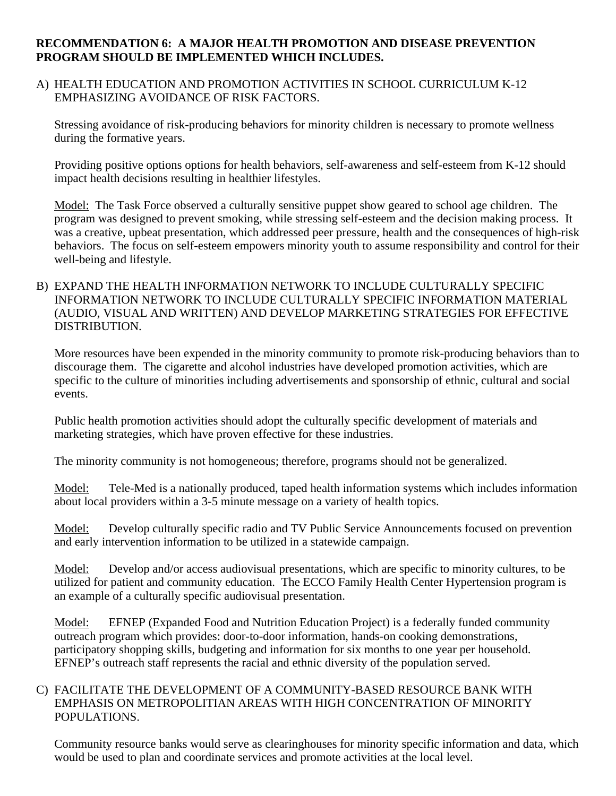#### **RECOMMENDATION 6: A MAJOR HEALTH PROMOTION AND DISEASE PREVENTION PROGRAM SHOULD BE IMPLEMENTED WHICH INCLUDES.**

A) HEALTH EDUCATION AND PROMOTION ACTIVITIES IN SCHOOL CURRICULUM K-12 EMPHASIZING AVOIDANCE OF RISK FACTORS.

Stressing avoidance of risk-producing behaviors for minority children is necessary to promote wellness during the formative years.

Providing positive options options for health behaviors, self-awareness and self-esteem from K-12 should impact health decisions resulting in healthier lifestyles.

Model: The Task Force observed a culturally sensitive puppet show geared to school age children. The program was designed to prevent smoking, while stressing self-esteem and the decision making process. It was a creative, upbeat presentation, which addressed peer pressure, health and the consequences of high-risk behaviors. The focus on self-esteem empowers minority youth to assume responsibility and control for their well-being and lifestyle.

B) EXPAND THE HEALTH INFORMATION NETWORK TO INCLUDE CULTURALLY SPECIFIC INFORMATION NETWORK TO INCLUDE CULTURALLY SPECIFIC INFORMATION MATERIAL (AUDIO, VISUAL AND WRITTEN) AND DEVELOP MARKETING STRATEGIES FOR EFFECTIVE DISTRIBUTION.

More resources have been expended in the minority community to promote risk-producing behaviors than to discourage them. The cigarette and alcohol industries have developed promotion activities, which are specific to the culture of minorities including advertisements and sponsorship of ethnic, cultural and social events.

Public health promotion activities should adopt the culturally specific development of materials and marketing strategies, which have proven effective for these industries.

The minority community is not homogeneous; therefore, programs should not be generalized.

Model: Tele-Med is a nationally produced, taped health information systems which includes information about local providers within a 3-5 minute message on a variety of health topics.

Model: Develop culturally specific radio and TV Public Service Announcements focused on prevention and early intervention information to be utilized in a statewide campaign.

Model: Develop and/or access audiovisual presentations, which are specific to minority cultures, to be utilized for patient and community education. The ECCO Family Health Center Hypertension program is an example of a culturally specific audiovisual presentation.

Model: EFNEP (Expanded Food and Nutrition Education Project) is a federally funded community outreach program which provides: door-to-door information, hands-on cooking demonstrations, participatory shopping skills, budgeting and information for six months to one year per household. EFNEP's outreach staff represents the racial and ethnic diversity of the population served.

#### C) FACILITATE THE DEVELOPMENT OF A COMMUNITY-BASED RESOURCE BANK WITH EMPHASIS ON METROPOLITIAN AREAS WITH HIGH CONCENTRATION OF MINORITY POPULATIONS.

Community resource banks would serve as clearinghouses for minority specific information and data, which would be used to plan and coordinate services and promote activities at the local level.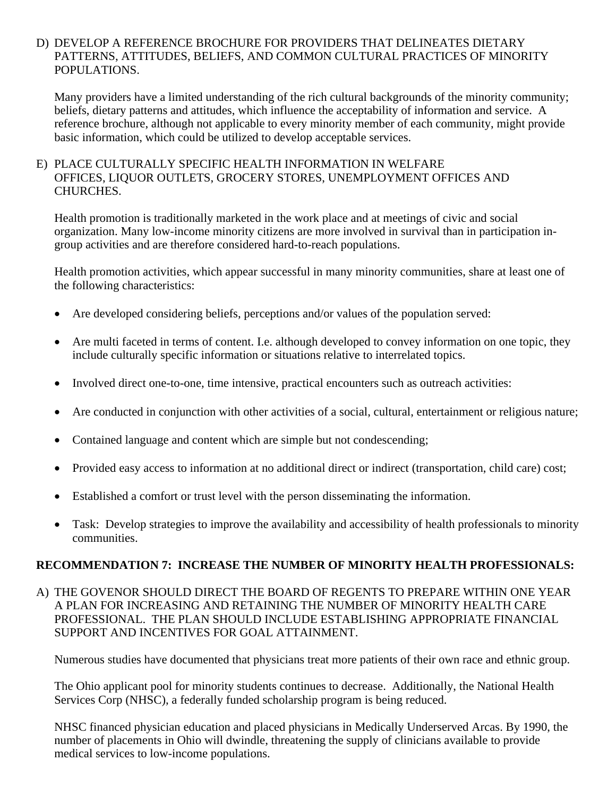#### D) DEVELOP A REFERENCE BROCHURE FOR PROVIDERS THAT DELINEATES DIETARY PATTERNS, ATTITUDES, BELIEFS, AND COMMON CULTURAL PRACTICES OF MINORITY POPULATIONS.

Many providers have a limited understanding of the rich cultural backgrounds of the minority community; beliefs, dietary patterns and attitudes, which influence the acceptability of information and service. A reference brochure, although not applicable to every minority member of each community, might provide basic information, which could be utilized to develop acceptable services.

#### E) PLACE CULTURALLY SPECIFIC HEALTH INFORMATION IN WELFARE OFFICES, LIQUOR OUTLETS, GROCERY STORES, UNEMPLOYMENT OFFICES AND CHURCHES.

Health promotion is traditionally marketed in the work place and at meetings of civic and social organization. Many low-income minority citizens are more involved in survival than in participation ingroup activities and are therefore considered hard-to-reach populations.

Health promotion activities, which appear successful in many minority communities, share at least one of the following characteristics:

- Are developed considering beliefs, perceptions and/or values of the population served:
- Are multi faceted in terms of content. I.e. although developed to convey information on one topic, they include culturally specific information or situations relative to interrelated topics.
- Involved direct one-to-one, time intensive, practical encounters such as outreach activities:
- Are conducted in conjunction with other activities of a social, cultural, entertainment or religious nature;
- Contained language and content which are simple but not condescending;
- Provided easy access to information at no additional direct or indirect (transportation, child care) cost;
- Established a comfort or trust level with the person disseminating the information.
- Task: Develop strategies to improve the availability and accessibility of health professionals to minority communities.

## **RECOMMENDATION 7: INCREASE THE NUMBER OF MINORITY HEALTH PROFESSIONALS:**

A) THE GOVENOR SHOULD DIRECT THE BOARD OF REGENTS TO PREPARE WITHIN ONE YEAR A PLAN FOR INCREASING AND RETAINING THE NUMBER OF MINORITY HEALTH CARE PROFESSIONAL. THE PLAN SHOULD INCLUDE ESTABLISHING APPROPRIATE FINANCIAL SUPPORT AND INCENTIVES FOR GOAL ATTAINMENT.

Numerous studies have documented that physicians treat more patients of their own race and ethnic group.

The Ohio applicant pool for minority students continues to decrease. Additionally, the National Health Services Corp (NHSC), a federally funded scholarship program is being reduced.

NHSC financed physician education and placed physicians in Medically Underserved Arcas. By 1990, the number of placements in Ohio will dwindle, threatening the supply of clinicians available to provide medical services to low-income populations.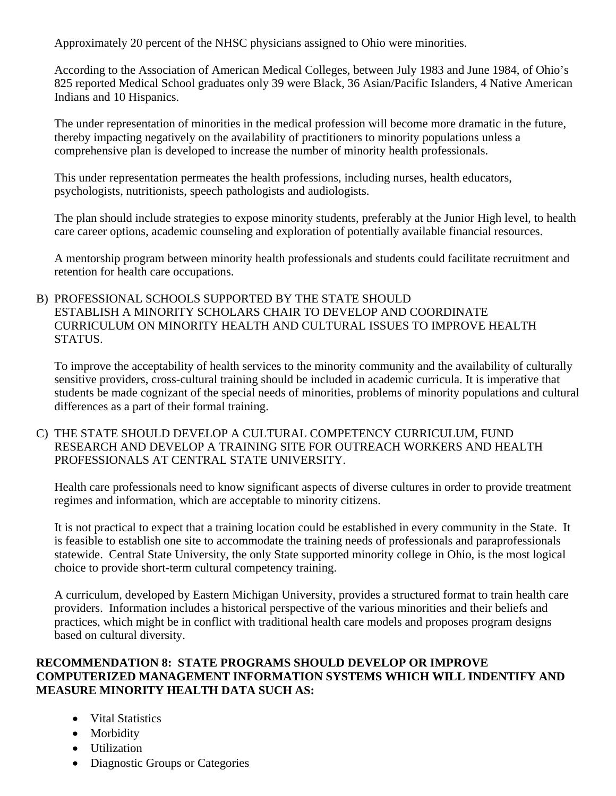Approximately 20 percent of the NHSC physicians assigned to Ohio were minorities.

According to the Association of American Medical Colleges, between July 1983 and June 1984, of Ohio's 825 reported Medical School graduates only 39 were Black, 36 Asian/Pacific Islanders, 4 Native American Indians and 10 Hispanics.

The under representation of minorities in the medical profession will become more dramatic in the future, thereby impacting negatively on the availability of practitioners to minority populations unless a comprehensive plan is developed to increase the number of minority health professionals.

This under representation permeates the health professions, including nurses, health educators, psychologists, nutritionists, speech pathologists and audiologists.

The plan should include strategies to expose minority students, preferably at the Junior High level, to health care career options, academic counseling and exploration of potentially available financial resources.

A mentorship program between minority health professionals and students could facilitate recruitment and retention for health care occupations.

#### B) PROFESSIONAL SCHOOLS SUPPORTED BY THE STATE SHOULD ESTABLISH A MINORITY SCHOLARS CHAIR TO DEVELOP AND COORDINATE CURRICULUM ON MINORITY HEALTH AND CULTURAL ISSUES TO IMPROVE HEALTH STATUS.

To improve the acceptability of health services to the minority community and the availability of culturally sensitive providers, cross-cultural training should be included in academic curricula. It is imperative that students be made cognizant of the special needs of minorities, problems of minority populations and cultural differences as a part of their formal training.

#### C) THE STATE SHOULD DEVELOP A CULTURAL COMPETENCY CURRICULUM, FUND RESEARCH AND DEVELOP A TRAINING SITE FOR OUTREACH WORKERS AND HEALTH PROFESSIONALS AT CENTRAL STATE UNIVERSITY.

Health care professionals need to know significant aspects of diverse cultures in order to provide treatment regimes and information, which are acceptable to minority citizens.

It is not practical to expect that a training location could be established in every community in the State. It is feasible to establish one site to accommodate the training needs of professionals and paraprofessionals statewide. Central State University, the only State supported minority college in Ohio, is the most logical choice to provide short-term cultural competency training.

A curriculum, developed by Eastern Michigan University, provides a structured format to train health care providers. Information includes a historical perspective of the various minorities and their beliefs and practices, which might be in conflict with traditional health care models and proposes program designs based on cultural diversity.

# **RECOMMENDATION 8: STATE PROGRAMS SHOULD DEVELOP OR IMPROVE COMPUTERIZED MANAGEMENT INFORMATION SYSTEMS WHICH WILL INDENTIFY AND MEASURE MINORITY HEALTH DATA SUCH AS:**

- Vital Statistics
- Morbidity
- Utilization
- Diagnostic Groups or Categories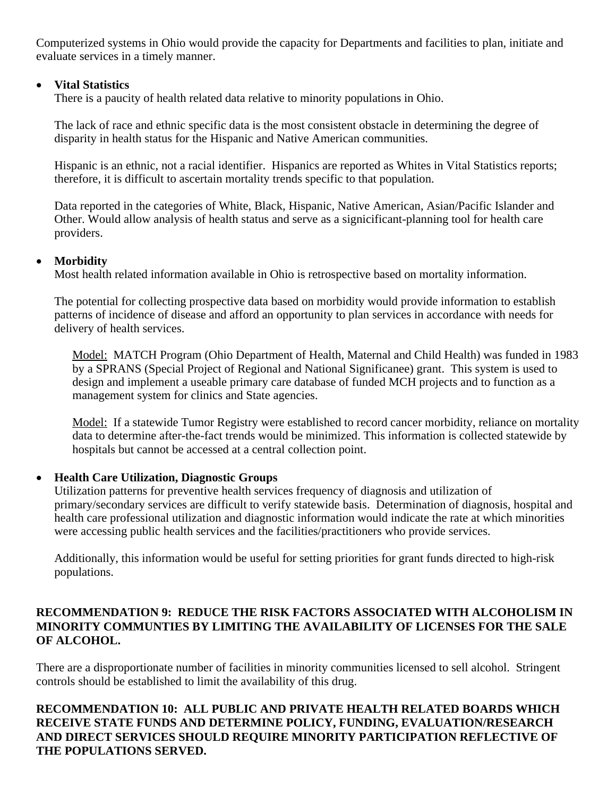Computerized systems in Ohio would provide the capacity for Departments and facilities to plan, initiate and evaluate services in a timely manner.

## • **Vital Statistics**

There is a paucity of health related data relative to minority populations in Ohio.

The lack of race and ethnic specific data is the most consistent obstacle in determining the degree of disparity in health status for the Hispanic and Native American communities.

Hispanic is an ethnic, not a racial identifier. Hispanics are reported as Whites in Vital Statistics reports; therefore, it is difficult to ascertain mortality trends specific to that population.

Data reported in the categories of White, Black, Hispanic, Native American, Asian/Pacific Islander and Other. Would allow analysis of health status and serve as a signicificant-planning tool for health care providers.

#### • **Morbidity**

Most health related information available in Ohio is retrospective based on mortality information.

The potential for collecting prospective data based on morbidity would provide information to establish patterns of incidence of disease and afford an opportunity to plan services in accordance with needs for delivery of health services.

Model: MATCH Program (Ohio Department of Health, Maternal and Child Health) was funded in 1983 by a SPRANS (Special Project of Regional and National Significanee) grant. This system is used to design and implement a useable primary care database of funded MCH projects and to function as a management system for clinics and State agencies.

Model: If a statewide Tumor Registry were established to record cancer morbidity, reliance on mortality data to determine after-the-fact trends would be minimized. This information is collected statewide by hospitals but cannot be accessed at a central collection point.

## • **Health Care Utilization, Diagnostic Groups**

Utilization patterns for preventive health services frequency of diagnosis and utilization of primary/secondary services are difficult to verify statewide basis. Determination of diagnosis, hospital and health care professional utilization and diagnostic information would indicate the rate at which minorities were accessing public health services and the facilities/practitioners who provide services.

Additionally, this information would be useful for setting priorities for grant funds directed to high-risk populations.

#### **RECOMMENDATION 9: REDUCE THE RISK FACTORS ASSOCIATED WITH ALCOHOLISM IN MINORITY COMMUNTIES BY LIMITING THE AVAILABILITY OF LICENSES FOR THE SALE OF ALCOHOL.**

There are a disproportionate number of facilities in minority communities licensed to sell alcohol. Stringent controls should be established to limit the availability of this drug.

## **RECOMMENDATION 10: ALL PUBLIC AND PRIVATE HEALTH RELATED BOARDS WHICH RECEIVE STATE FUNDS AND DETERMINE POLICY, FUNDING, EVALUATION/RESEARCH AND DIRECT SERVICES SHOULD REQUIRE MINORITY PARTICIPATION REFLECTIVE OF THE POPULATIONS SERVED.**